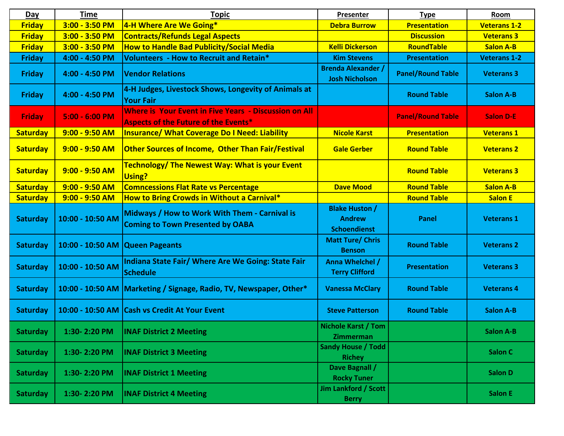| Day             | <b>Time</b>       | <b>Topic</b>                                                                                                | Presenter                                                     | <b>Type</b>              | Room                |
|-----------------|-------------------|-------------------------------------------------------------------------------------------------------------|---------------------------------------------------------------|--------------------------|---------------------|
| <b>Friday</b>   | $3:00 - 3:50 P M$ | 4-H Where Are We Going*                                                                                     | <b>Debra Burrow</b>                                           | <b>Presentation</b>      | <b>Veterans 1-2</b> |
| <b>Friday</b>   | $3:00 - 3:50 P M$ | <b>Contracts/Refunds Legal Aspects</b>                                                                      |                                                               | <b>Discussion</b>        | <b>Veterans 3</b>   |
| <b>Friday</b>   | $3:00 - 3:50 P M$ | <b>How to Handle Bad Publicity/Social Media</b>                                                             | <b>Kelli Dickerson</b>                                        | RoundTable               | <b>Salon A-B</b>    |
| <b>Friday</b>   | 4:00 - 4:50 PM    | Volunteers - How to Recruit and Retain*                                                                     | <b>Kim Stevens</b>                                            | <b>Presentation</b>      | <b>Veterans 1-2</b> |
| <b>Friday</b>   | 4:00 - 4:50 PM    | <b>Vendor Relations</b>                                                                                     | <b>Brenda Alexander /</b><br><b>Josh Nicholson</b>            | <b>Panel/Round Table</b> | <b>Veterans 3</b>   |
| <b>Friday</b>   | 4:00 - 4:50 PM    | 4-H Judges, Livestock Shows, Longevity of Animals at<br><b>Your Fair</b>                                    |                                                               | <b>Round Table</b>       | <b>Salon A-B</b>    |
| <b>Friday</b>   | $5:00 - 6:00$ PM  | <b>Where is Your Event in Five Years - Discussion on All</b><br><b>Aspects of the Future of the Events*</b> |                                                               | <b>Panel/Round Table</b> | <b>Salon D-E</b>    |
| <b>Saturday</b> | $9:00 - 9:50$ AM  | <b>Insurance/ What Coverage Do I Need: Liability</b>                                                        | <b>Nicole Karst</b>                                           | <b>Presentation</b>      | <b>Veterans 1</b>   |
| <b>Saturday</b> | $9:00 - 9:50$ AM  | <b>Other Sources of Income, Other Than Fair/Festival</b>                                                    | <b>Gale Gerber</b>                                            | <b>Round Table</b>       | <b>Veterans 2</b>   |
| <b>Saturday</b> | $9:00 - 9:50$ AM  | <b>Technology/ The Newest Way: What is your Event</b><br>Using?                                             |                                                               | <b>Round Table</b>       | <b>Veterans 3</b>   |
| <b>Saturday</b> | $9:00 - 9:50$ AM  | <b>Comncessions Flat Rate vs Percentage</b>                                                                 | <b>Dave Mood</b>                                              | <b>Round Table</b>       | <b>Salon A-B</b>    |
| <b>Saturday</b> | $9:00 - 9:50$ AM  | How to Bring Crowds in Without a Carnival*                                                                  |                                                               | <b>Round Table</b>       | <b>Salon E</b>      |
| <b>Saturday</b> | 10:00 - 10:50 AM  | Midways / How to Work With Them - Carnival is<br><b>Coming to Town Presented by OABA</b>                    | <b>Blake Huston /</b><br><b>Andrew</b><br><b>Schoendienst</b> | Panel                    | <b>Veterans 1</b>   |
| <b>Saturday</b> | 10:00 - 10:50 AM  | <b>Queen Pageants</b>                                                                                       | <b>Matt Ture/ Chris</b><br><b>Benson</b>                      | <b>Round Table</b>       | <b>Veterans 2</b>   |
| <b>Saturday</b> | 10:00 - 10:50 AM  | Indiana State Fair/ Where Are We Going: State Fair<br><b>Schedule</b>                                       | Anna Whelchel /<br><b>Terry Clifford</b>                      | <b>Presentation</b>      | <b>Veterans 3</b>   |
| <b>Saturday</b> |                   | 10:00 - 10:50 AM   Marketing / Signage, Radio, TV, Newspaper, Other*                                        | <b>Vanessa McClary</b>                                        | <b>Round Table</b>       | <b>Veterans 4</b>   |
| <b>Saturday</b> | 10:00 - 10:50 AM  | <b>Cash vs Credit At Your Event</b>                                                                         | <b>Steve Patterson</b>                                        | <b>Round Table</b>       | <b>Salon A-B</b>    |
| <b>Saturday</b> | 1:30-2:20 PM      | <b>INAF District 2 Meeting</b>                                                                              | <b>Nichole Karst / Tom</b><br>Zimmerman                       |                          | <b>Salon A-B</b>    |
| <b>Saturday</b> | 1:30-2:20 PM      | <b>INAF District 3 Meeting</b>                                                                              | <b>Sandy House / Todd</b><br><b>Richey</b>                    |                          | Salon C             |
| <b>Saturday</b> | 1:30-2:20 PM      | <b>INAF District 1 Meeting</b>                                                                              | Dave Bagnall /<br><b>Rocky Tuner</b>                          |                          | <b>Salon D</b>      |
| <b>Saturday</b> | 1:30-2:20 PM      | <b>INAF District 4 Meeting</b>                                                                              | <b>Jim Lankford / Scott</b><br><b>Berry</b>                   |                          | <b>Salon E</b>      |